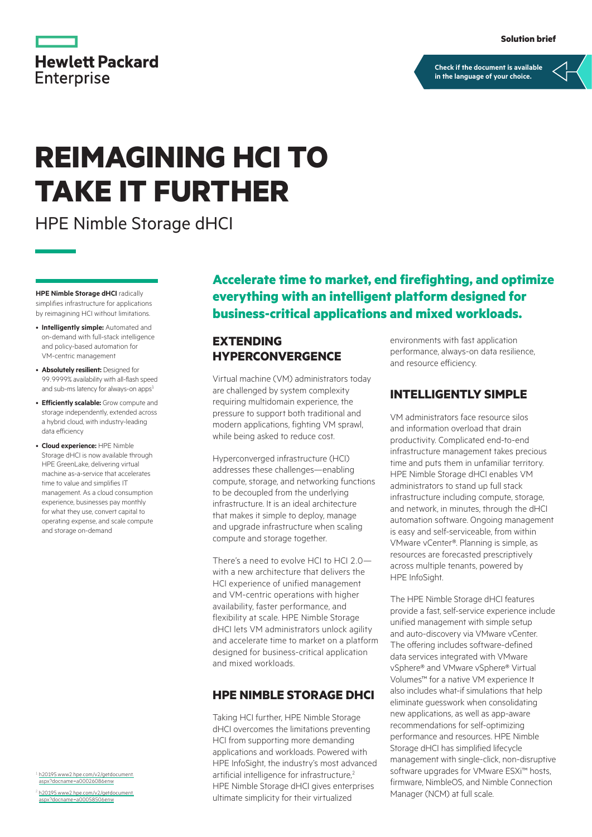|                   | <b>Hewlett Packard</b> |
|-------------------|------------------------|
| <b>Enterprise</b> |                        |

**[Check if the document is available](https://psnow.ext.hpe.com/collection-resources/a00074723ENW)  in the language of your choice.**

# **REIMAGINING HCI TO TAKE IT FURTHER**

HPE Nimble Storage dHCI

**HPE Nimble Storage dHCI** radically simplifies infrastructure for applications by reimagining HCI without limitations.

- **Intelligently simple:** Automated and on-demand with full-stack intelligence and policy-based automation for VM-centric management
- **Absolutely resilient:** Designed for 99.9999% availability with all-flash speed and sub-ms latency for always-on apps<sup>1</sup>
- **Efficiently scalable:** Grow compute and storage independently, extended across a hybrid cloud, with industry-leading data efficiency
- **Cloud experience:** HPE Nimble Storage dHCI is now available through HPE GreenLake, delivering virtual machine as-a-service that accelerates time to value and simplifies IT management. As a cloud consumption experience, businesses pay monthly for what they use, convert capital to operating expense, and scale compute and storage on-demand

[h20195.www2.hpe.com/v2/getdocument.](https://h20195.www2.hpe.com/v2/getdocument.aspx?docname=a00026086enw) [aspx?docname=a00026086enw](https://h20195.www2.hpe.com/v2/getdocument.aspx?docname=a00026086enw) <sup>2</sup> [h20195.www2.hpe.com/v2/getdocument.](https://h20195.www2.hpe.com/v2/getdocument.aspx?docname=a00058506enw) [aspx?docname=a00058506enw](https://h20195.www2.hpe.com/v2/getdocument.aspx?docname=a00058506enw)

**Accelerate time to market, end firefighting, and optimize everything with an intelligent platform designed for business-critical applications and mixed workloads.**

# **EXTENDING HYPERCONVERGENCE**

Virtual machine (VM) administrators today are challenged by system complexity requiring multidomain experience, the pressure to support both traditional and modern applications, fighting VM sprawl, while being asked to reduce cost.

Hyperconverged infrastructure (HCI) addresses these challenges—enabling compute, storage, and networking functions to be decoupled from the underlying infrastructure. It is an ideal architecture that makes it simple to deploy, manage and upgrade infrastructure when scaling compute and storage together.

There's a need to evolve HCI to HCI 2.0 with a new architecture that delivers the HCI experience of unified management and VM-centric operations with higher availability, faster performance, and flexibility at scale. HPE Nimble Storage dHCI lets VM administrators unlock agility and accelerate time to market on a platform designed for business-critical application and mixed workloads.

# **HPE NIMBLE STORAGE DHCI**

Taking HCI further, HPE Nimble Storage dHCI overcomes the limitations preventing HCI from supporting more demanding applications and workloads. Powered with HPE InfoSight, the industry's most advanced artificial intelligence for infrastructure,<sup>2</sup> HPE Nimble Storage dHCI gives enterprises ultimate simplicity for their virtualized

environments with fast application performance, always-on data resilience, and resource efficiency.

### **INTELLIGENTLY SIMPLE**

VM administrators face resource silos and information overload that drain productivity. Complicated end-to-end infrastructure management takes precious time and puts them in unfamiliar territory. HPE Nimble Storage dHCI enables VM administrators to stand up full stack infrastructure including compute, storage, and network, in minutes, through the dHCI automation software. Ongoing management is easy and self-serviceable, from within VMware vCenter®. Planning is simple, as resources are forecasted prescriptively across multiple tenants, powered by HPE InfoSight.

The HPE Nimble Storage dHCI features provide a fast, self-service experience include unified management with simple setup and auto-discovery via VMware vCenter. The offering includes software-defined data services integrated with VMware vSphere® and VMware vSphere® Virtual Volumes™ for a native VM experience It also includes what-if simulations that help eliminate guesswork when consolidating new applications, as well as app-aware recommendations for self-optimizing performance and resources. HPE Nimble Storage dHCI has simplified lifecycle management with single-click, non-disruptive software upgrades for VMware ESXi<sup>™</sup> hosts, firmware, NimbleOS, and Nimble Connection Manager (NCM) at full scale.